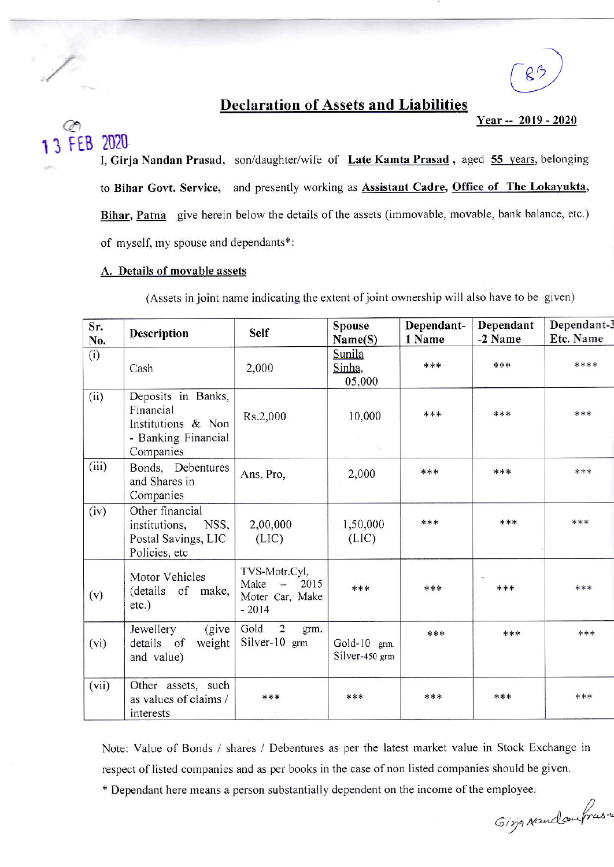

## **Declaration of Assets and Liabilities**

Year -- 2019 - 2020

FEB 2020 I, Girja Nandan Prasad, son/daughter/wife of Late Kamta Prasad, aged 55 years, belonging to Bihar Govt. Service, and presently working as Assistant Cadre, Office of The Lokayukta, Bihar, Patna give herein below the details of the assets (immovable, movable, bank balance, etc.) of myself, my spouse and dependants\*:

## A. Details of movable assets

(Assets in joint name indicating the extent of joint ownership will also have to be given)

| Sr.<br>No. | <b>Description</b>                                                                        | <b>Self</b>                                                                             | <b>Spouse</b><br>Name(S)       | Dependant-<br>1 Name | Dependant<br>-2 Name | Dependant-3<br>Etc. Name |
|------------|-------------------------------------------------------------------------------------------|-----------------------------------------------------------------------------------------|--------------------------------|----------------------|----------------------|--------------------------|
| (i)        | Cash                                                                                      | 2,000                                                                                   | Sunila<br>Sinha,<br>05,000     | ***                  | ***                  | ****                     |
| (ii)       | Deposits in Banks,<br>Financial<br>Institutions & Non<br>- Banking Financial<br>Companies | Rs.2,000                                                                                | 10,000                         | ***                  | ***                  | ***                      |
| (iii)      | Bonds, Debentures<br>and Shares in<br>Companies                                           | Ans. Pro,                                                                               | 2,000                          | ***                  | ***                  | ***                      |
| (iv)       | Other financial<br>institutions,<br>NSS,<br>Postal Savings, LIC<br>Policies, etc          | 2,00,000<br>(LIC)                                                                       | 1,50,000<br>(LIC)              | ***                  | ***                  | ***                      |
| (v)        | Motor Vehicles<br>(details of make,<br>$etc.$ )                                           | TVS-Motr.Cyl,<br>Make<br>2015<br>$\overline{\phantom{0}}$<br>Moter Car, Make<br>$-2014$ | ***                            | ***                  | $\mathcal{H}$<br>*** | ***                      |
| (vi)       | (give<br>Jewellery<br>details of<br>weight<br>and value)                                  | $\overline{2}$<br>Gold<br>grm.<br>Silver-10 grm                                         | Gold-10 grm.<br>Silver-450 grm | ***                  | ***                  | ***                      |
| (vii)      | Other assets, such<br>as values of claims /<br>interests                                  | ***                                                                                     | ***                            | ***                  | ***                  | ***                      |

Note: Value of Bonds / shares / Debentures as per the latest market value in Stock Exchange in respect of listed companies and as per books in the case of non listed companies should be given.

\* Dependant here means a person substantially dependent on the income of the employee.

Girja Naudcoufrusa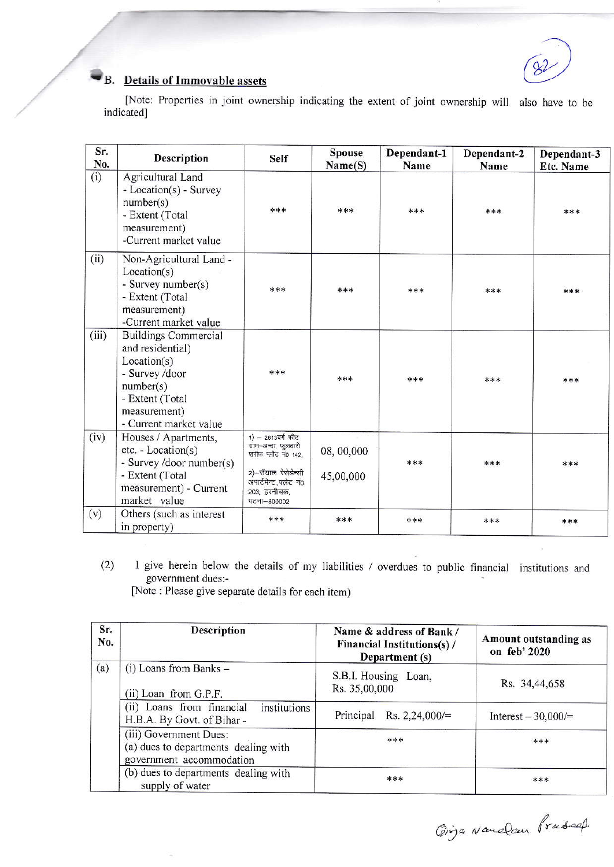## B. Details of Immovable assets

[Note: Properties in joint ownership indicating the extent of joint ownership will also have to be indicated]

| Sr.<br>No. | <b>Description</b>                                                                                                                                         | <b>Self</b>                                                                                                                                        | <b>Spouse</b><br>Name(S) | Dependant-1<br>Name | Dependant-2<br>Name | Dependant-3<br>Etc. Name |
|------------|------------------------------------------------------------------------------------------------------------------------------------------------------------|----------------------------------------------------------------------------------------------------------------------------------------------------|--------------------------|---------------------|---------------------|--------------------------|
| (i)        | Agricultural Land<br>- Location(s) - Survey<br>number(s)<br>- Extent (Total<br>measurement)<br>-Current market value                                       | ***                                                                                                                                                | ***                      | ***                 | ***                 | ***                      |
| (ii)       | Non-Agricultural Land -<br>Location(s)<br>- Survey number(s)<br>- Extent (Total<br>measurement)<br>-Current market value                                   | ***                                                                                                                                                | ***                      | ***                 | ***                 | ***                      |
| (iii)      | <b>Buildings Commercial</b><br>and residential)<br>Location(s)<br>- Survey /door<br>number(s)<br>- Extent (Total<br>measurement)<br>- Current market value | ***                                                                                                                                                | ***                      | ***                 | ***                 | ***                      |
| (iv)       | Houses / Apartments,<br>$etc. - Location(s)$<br>- Survey /door number(s)<br>- Extent (Total<br>measurement) - Current<br>market value                      | $1) - 2613$ वर्गफीट<br>ग्राम–अन्दा, फुलवारी<br>शरीफ प्लौट नं0 142.<br>2)-रॉयाल रेसेडेन्सी<br>अपार्टमेन्ट, फ्लेट नं0<br>203, हरनीचक,<br>पटना-800002 | 08, 00,000<br>45,00,000  | ***                 | ***                 | ***                      |
| (v)        | Others (such as interest<br>in property)                                                                                                                   | ***                                                                                                                                                | ***                      | ***                 | ***                 | ***                      |

I give herein below the details of my liabilities / overdues to public financial institutions and  $(2)$ government dues:-

[Note: Please give separate details for each item)

| Sr.<br>No. | <b>Description</b>                                                                         | Name & address of Bank /<br><b>Financial Institutions(s)/</b><br>Department (s) | Amount outstanding as<br>on feb' 2020 |  |
|------------|--------------------------------------------------------------------------------------------|---------------------------------------------------------------------------------|---------------------------------------|--|
| (a)        | $(i)$ Loans from Banks $-$<br>(ii) Loan from G.P.F.                                        | S.B.I. Housing Loan,<br>Rs. 35,00,000                                           | Rs. 34,44,658                         |  |
|            | (ii) Loans from financial<br>institutions<br>H.B.A. By Govt. of Bihar -                    | Principal Rs. $2,24,000/=$                                                      | Interest $-30,000/=$                  |  |
|            | (iii) Government Dues:<br>(a) dues to departments dealing with<br>government accommodation | ***                                                                             | ***                                   |  |
|            | (b) dues to departments dealing with<br>supply of water                                    | ***                                                                             | ***                                   |  |

Gings Nandau Prussed.